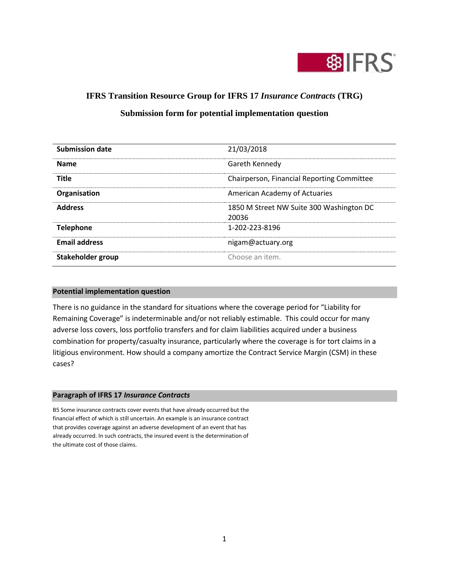

# **IFRS Transition Resource Group for IFRS 17** *Insurance Contracts* **(TRG)**

# **Submission form for potential implementation question**

| <b>Submission date</b> | 21/03/2018                                        |
|------------------------|---------------------------------------------------|
| <b>Name</b>            | Gareth Kennedy                                    |
| <b>Title</b>           | Chairperson, Financial Reporting Committee        |
| Organisation           | American Academy of Actuaries                     |
| <b>Address</b>         | 1850 M Street NW Suite 300 Washington DC<br>20036 |
| <b>Telephone</b>       | 1-202-223-8196                                    |
| <b>Email address</b>   | nigam@actuary.org                                 |
| Stakeholder group      | Choose an item.                                   |

### **Potential implementation question**

There is no guidance in the standard for situations where the coverage period for "Liability for Remaining Coverage" is indeterminable and/or not reliably estimable. This could occur for many adverse loss covers, loss portfolio transfers and for claim liabilities acquired under a business combination for property/casualty insurance, particularly where the coverage is for tort claims in a litigious environment. How should a company amortize the Contract Service Margin (CSM) in these cases?

#### **Paragraph of IFRS 17** *Insurance Contracts*

B5 Some insurance contracts cover events that have already occurred but the financial effect of which is still uncertain. An example is an insurance contract that provides coverage against an adverse development of an event that has already occurred. In such contracts, the insured event is the determination of the ultimate cost of those claims.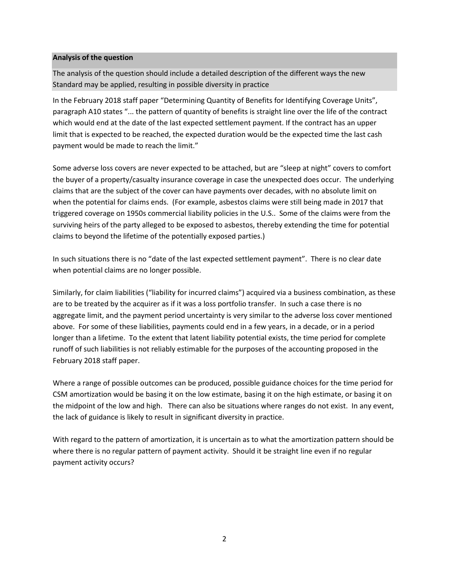### **Analysis of the question**

The analysis of the question should include a detailed description of the different ways the new Standard may be applied, resulting in possible diversity in practice

In the February 2018 staff paper "Determining Quantity of Benefits for Identifying Coverage Units", paragraph A10 states "... the pattern of quantity of benefits is straight line over the life of the contract which would end at the date of the last expected settlement payment. If the contract has an upper limit that is expected to be reached, the expected duration would be the expected time the last cash payment would be made to reach the limit."

Some adverse loss covers are never expected to be attached, but are "sleep at night" covers to comfort the buyer of a property/casualty insurance coverage in case the unexpected does occur. The underlying claims that are the subject of the cover can have payments over decades, with no absolute limit on when the potential for claims ends. (For example, asbestos claims were still being made in 2017 that triggered coverage on 1950s commercial liability policies in the U.S.. Some of the claims were from the surviving heirs of the party alleged to be exposed to asbestos, thereby extending the time for potential claims to beyond the lifetime of the potentially exposed parties.)

In such situations there is no "date of the last expected settlement payment". There is no clear date when potential claims are no longer possible.

Similarly, for claim liabilities ("liability for incurred claims") acquired via a business combination, as these are to be treated by the acquirer as if it was a loss portfolio transfer. In such a case there is no aggregate limit, and the payment period uncertainty is very similar to the adverse loss cover mentioned above. For some of these liabilities, payments could end in a few years, in a decade, or in a period longer than a lifetime. To the extent that latent liability potential exists, the time period for complete runoff of such liabilities is not reliably estimable for the purposes of the accounting proposed in the February 2018 staff paper.

Where a range of possible outcomes can be produced, possible guidance choices for the time period for CSM amortization would be basing it on the low estimate, basing it on the high estimate, or basing it on the midpoint of the low and high. There can also be situations where ranges do not exist. In any event, the lack of guidance is likely to result in significant diversity in practice.

With regard to the pattern of amortization, it is uncertain as to what the amortization pattern should be where there is no regular pattern of payment activity. Should it be straight line even if no regular payment activity occurs?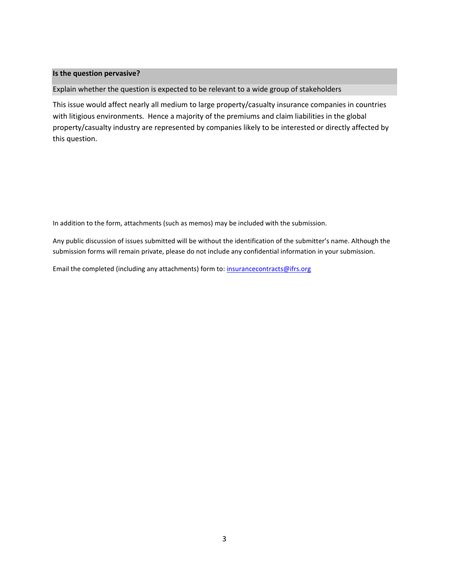### **Is the question pervasive?**

Explain whether the question is expected to be relevant to a wide group of stakeholders

This issue would affect nearly all medium to large property/casualty insurance companies in countries with litigious environments. Hence a majority of the premiums and claim liabilities in the global property/casualty industry are represented by companies likely to be interested or directly affected by this question.

In addition to the form, attachments (such as memos) may be included with the submission.

Any public discussion of issues submitted will be without the identification of the submitter's name. Although the submission forms will remain private, please do not include any confidential information in your submission.

Email the completed (including any attachments) form to[: insurancecontracts@ifrs.org](mailto:insurancecontracts@ifrs.org)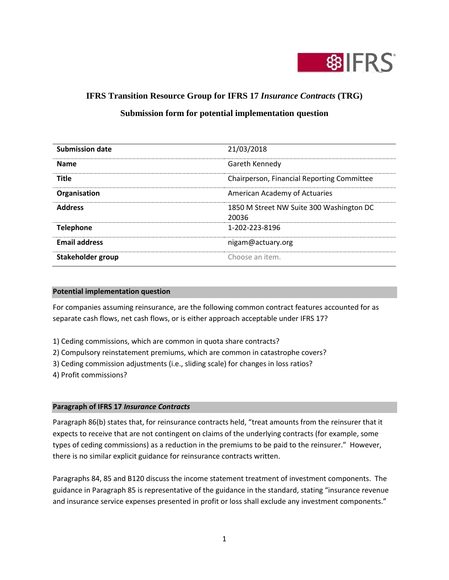

# **IFRS Transition Resource Group for IFRS 17** *Insurance Contracts* **(TRG)**

# **Submission form for potential implementation question**

| <b>Submission date</b> | 21/03/2018                                        |
|------------------------|---------------------------------------------------|
| <b>Name</b>            | Gareth Kennedy                                    |
| <b>Title</b>           | Chairperson, Financial Reporting Committee        |
| Organisation           | American Academy of Actuaries                     |
| <b>Address</b>         | 1850 M Street NW Suite 300 Washington DC<br>20036 |
| <b>Telephone</b>       | 1-202-223-8196                                    |
| <b>Email address</b>   | nigam@actuary.org                                 |
| Stakeholder group      | Choose an item.                                   |

### **Potential implementation question**

For companies assuming reinsurance, are the following common contract features accounted for as separate cash flows, net cash flows, or is either approach acceptable under IFRS 17?

1) Ceding commissions, which are common in quota share contracts?

2) Compulsory reinstatement premiums, which are common in catastrophe covers?

3) Ceding commission adjustments (i.e., sliding scale) for changes in loss ratios?

4) Profit commissions?

## **Paragraph of IFRS 17** *Insurance Contracts*

Paragraph 86(b) states that, for reinsurance contracts held, "treat amounts from the reinsurer that it expects to receive that are not contingent on claims of the underlying contracts (for example, some types of ceding commissions) as a reduction in the premiums to be paid to the reinsurer." However, there is no similar explicit guidance for reinsurance contracts written.

Paragraphs 84, 85 and B120 discuss the income statement treatment of investment components. The guidance in Paragraph 85 is representative of the guidance in the standard, stating "insurance revenue and insurance service expenses presented in profit or loss shall exclude any investment components."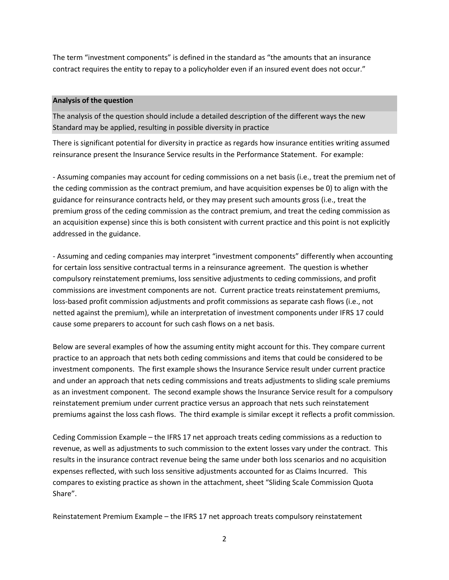The term "investment components" is defined in the standard as "the amounts that an insurance contract requires the entity to repay to a policyholder even if an insured event does not occur."

## **Analysis of the question**

The analysis of the question should include a detailed description of the different ways the new Standard may be applied, resulting in possible diversity in practice

There is significant potential for diversity in practice as regards how insurance entities writing assumed reinsurance present the Insurance Service results in the Performance Statement. For example:

- Assuming companies may account for ceding commissions on a net basis (i.e., treat the premium net of the ceding commission as the contract premium, and have acquisition expenses be 0) to align with the guidance for reinsurance contracts held, or they may present such amounts gross (i.e., treat the premium gross of the ceding commission as the contract premium, and treat the ceding commission as an acquisition expense) since this is both consistent with current practice and this point is not explicitly addressed in the guidance.

- Assuming and ceding companies may interpret "investment components" differently when accounting for certain loss sensitive contractual terms in a reinsurance agreement. The question is whether compulsory reinstatement premiums, loss sensitive adjustments to ceding commissions, and profit commissions are investment components are not. Current practice treats reinstatement premiums, loss-based profit commission adjustments and profit commissions as separate cash flows (i.e., not netted against the premium), while an interpretation of investment components under IFRS 17 could cause some preparers to account for such cash flows on a net basis.

Below are several examples of how the assuming entity might account for this. They compare current practice to an approach that nets both ceding commissions and items that could be considered to be investment components. The first example shows the Insurance Service result under current practice and under an approach that nets ceding commissions and treats adjustments to sliding scale premiums as an investment component. The second example shows the Insurance Service result for a compulsory reinstatement premium under current practice versus an approach that nets such reinstatement premiums against the loss cash flows. The third example is similar except it reflects a profit commission.

Ceding Commission Example – the IFRS 17 net approach treats ceding commissions as a reduction to revenue, as well as adjustments to such commission to the extent losses vary under the contract. This results in the insurance contract revenue being the same under both loss scenarios and no acquisition expenses reflected, with such loss sensitive adjustments accounted for as Claims Incurred. This compares to existing practice as shown in the attachment, sheet "Sliding Scale Commission Quota Share".

Reinstatement Premium Example – the IFRS 17 net approach treats compulsory reinstatement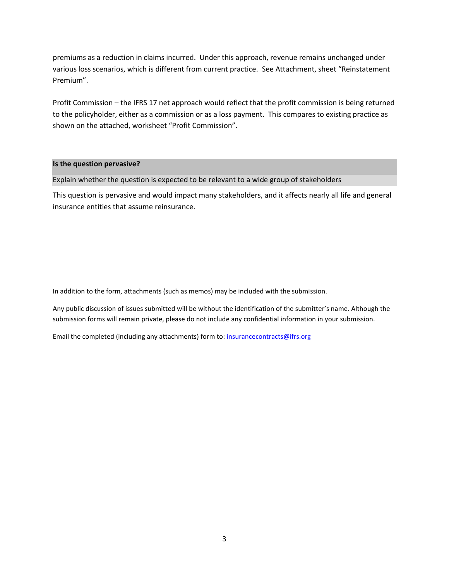premiums as a reduction in claims incurred. Under this approach, revenue remains unchanged under various loss scenarios, which is different from current practice. See Attachment, sheet "Reinstatement Premium".

Profit Commission – the IFRS 17 net approach would reflect that the profit commission is being returned to the policyholder, either as a commission or as a loss payment. This compares to existing practice as shown on the attached, worksheet "Profit Commission".

#### **Is the question pervasive?**

Explain whether the question is expected to be relevant to a wide group of stakeholders

This question is pervasive and would impact many stakeholders, and it affects nearly all life and general insurance entities that assume reinsurance.

In addition to the form, attachments (such as memos) may be included with the submission.

Any public discussion of issues submitted will be without the identification of the submitter's name. Although the submission forms will remain private, please do not include any confidential information in your submission.

Email the completed (including any attachments) form to[: insurancecontracts@ifrs.org](mailto:insurancecontracts@ifrs.org)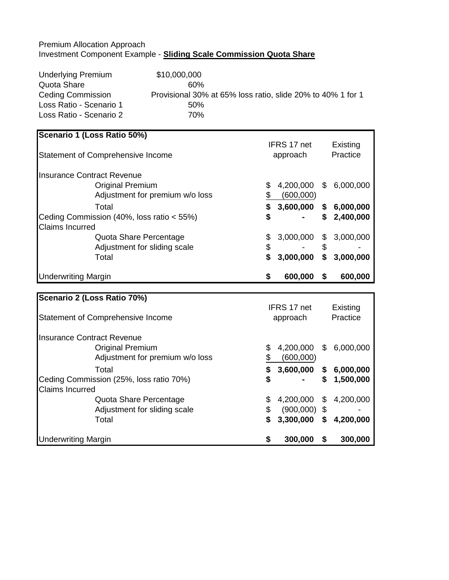# Premium Allocation Approach Investment Component Example - **Sliding Scale Commission Quota Share**

Underlying Premium \$10,000,000 Quota Share 60% Ceding Commission Provisional 30% at 65% loss ratio, slide 20% to 40% 1 for 1 Loss Ratio - Scenario 1 50% Loss Ratio - Scenario 2 70%

## **Scenario 1 (Loss Ratio 50%)** Statement of Comprehensive Income IFRS 17 net approach Existing **Practice** Insurance Contract Revenue Original Premium \$ 4,200,000 \$ 6,000,000 Adjustment for premium w/o loss  $$^{600,000}$ Total **\$ 3,600,000 \$ 6,000,000** Ceding Commission (40%, loss ratio < 55%) **\$ - \$ 2,400,000** Claims Incurred Quota Share Percentage  $$3,000,000 $3,000,000$ Adjustment for sliding scale  $\sim$  \$ - \$ Total **\$ 3,000,000 \$ 3,000,000** Underwriting Margin **\$ 600,000 \$ 600,000**

| <b>Scenario 2 (Loss Ratio 70%)</b>       |          |                |     |           |
|------------------------------------------|----------|----------------|-----|-----------|
|                                          |          | IFRS 17 net    |     | Existing  |
| <b>Statement of Comprehensive Income</b> | approach |                |     | Practice  |
| Insurance Contract Revenue               |          |                |     |           |
| <b>Original Premium</b>                  | \$       | 4,200,000      | \$. | 6,000,000 |
| Adjustment for premium w/o loss          | S        | (600,000)      |     |           |
| Total                                    | \$       | 3,600,000      | S.  | 6,000,000 |
| Ceding Commission (25%, loss ratio 70%)  | \$       |                | S   | 1,500,000 |
| <b>Claims Incurred</b>                   |          |                |     |           |
| Quota Share Percentage                   | \$       | 4,200,000      | \$  | 4,200,000 |
| Adjustment for sliding scale             | \$       | $(900,000)$ \$ |     |           |
| Total                                    | \$       | 3,300,000      | S   | 4,200,000 |
| <b>Underwriting Margin</b>               | S        | 300,000        | S   | 300,000   |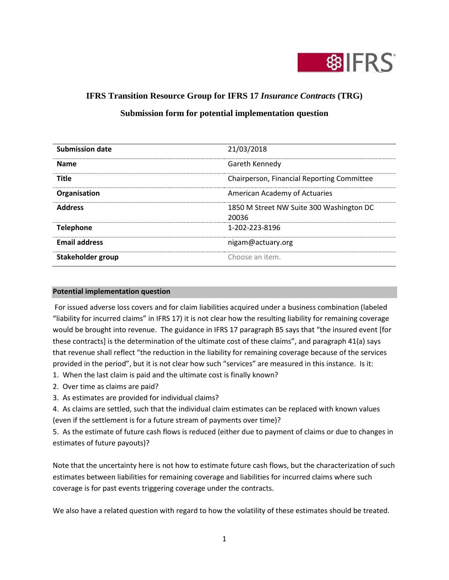

# **IFRS Transition Resource Group for IFRS 17** *Insurance Contracts* **(TRG)**

|  | Submission form for potential implementation question |  |
|--|-------------------------------------------------------|--|
|  |                                                       |  |

| <b>Submission date</b> | 21/03/2018                                        |
|------------------------|---------------------------------------------------|
| <b>Name</b>            | Gareth Kennedy                                    |
| <b>Title</b>           | Chairperson, Financial Reporting Committee        |
| Organisation           | American Academy of Actuaries                     |
| <b>Address</b>         | 1850 M Street NW Suite 300 Washington DC<br>20036 |
| <b>Telephone</b>       | 1-202-223-8196                                    |
| <b>Email address</b>   | nigam@actuary.org                                 |
| Stakeholder group      | Choose an item.                                   |

## **Potential implementation question**

For issued adverse loss covers and for claim liabilities acquired under a business combination (labeled "liability for incurred claims" in IFRS 17) it is not clear how the resulting liability for remaining coverage would be brought into revenue. The guidance in IFRS 17 paragraph B5 says that "the insured event [for these contracts] is the determination of the ultimate cost of these claims", and paragraph 41(a) says that revenue shall reflect "the reduction in the liability for remaining coverage because of the services provided in the period", but it is not clear how such "services" are measured in this instance. Is it:

- 1. When the last claim is paid and the ultimate cost is finally known?
- 2. Over time as claims are paid?
- 3. As estimates are provided for individual claims?

4. As claims are settled, such that the individual claim estimates can be replaced with known values (even if the settlement is for a future stream of payments over time)?

5. As the estimate of future cash flows is reduced (either due to payment of claims or due to changes in estimates of future payouts)?

Note that the uncertainty here is not how to estimate future cash flows, but the characterization of such estimates between liabilities for remaining coverage and liabilities for incurred claims where such coverage is for past events triggering coverage under the contracts.

We also have a related question with regard to how the volatility of these estimates should be treated.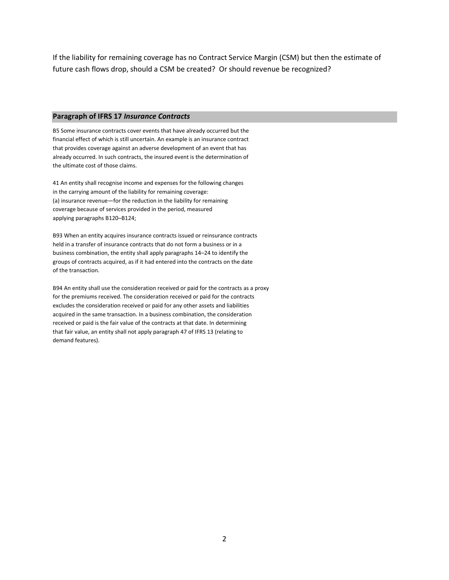If the liability for remaining coverage has no Contract Service Margin (CSM) but then the estimate of future cash flows drop, should a CSM be created? Or should revenue be recognized?

#### **Paragraph of IFRS 17** *Insurance Contracts*

B5 Some insurance contracts cover events that have already occurred but the financial effect of which is still uncertain. An example is an insurance contract that provides coverage against an adverse development of an event that has already occurred. In such contracts, the insured event is the determination of the ultimate cost of those claims.

41 An entity shall recognise income and expenses for the following changes in the carrying amount of the liability for remaining coverage: (a) insurance revenue—for the reduction in the liability for remaining coverage because of services provided in the period, measured applying paragraphs B120–B124;

B93 When an entity acquires insurance contracts issued or reinsurance contracts held in a transfer of insurance contracts that do not form a business or in a business combination, the entity shall apply paragraphs 14–24 to identify the groups of contracts acquired, as if it had entered into the contracts on the date of the transaction.

B94 An entity shall use the consideration received or paid for the contracts as a proxy for the premiums received. The consideration received or paid for the contracts excludes the consideration received or paid for any other assets and liabilities acquired in the same transaction. In a business combination, the consideration received or paid is the fair value of the contracts at that date. In determining that fair value, an entity shall not apply paragraph 47 of IFRS 13 (relating to demand features).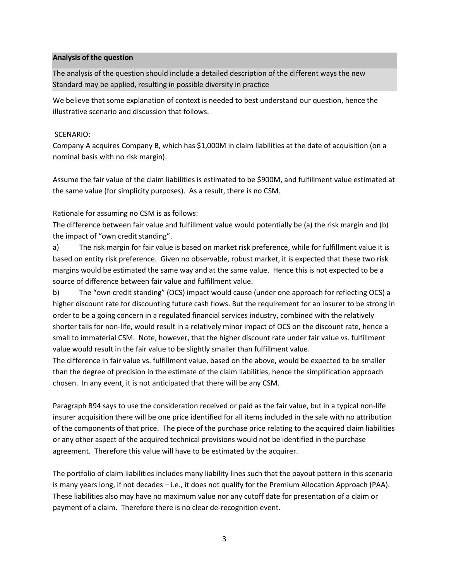## **Analysis of the question**

The analysis of the question should include a detailed description of the different ways the new Standard may be applied, resulting in possible diversity in practice

We believe that some explanation of context is needed to best understand our question, hence the illustrative scenario and discussion that follows.

## SCENARIO:

Company A acquires Company B, which has \$1,000M in claim liabilities at the date of acquisition (on a nominal basis with no risk margin).

Assume the fair value of the claim liabilities is estimated to be \$900M, and fulfillment value estimated at the same value (for simplicity purposes). As a result, there is no CSM.

Rationale for assuming no CSM is as follows:

The difference between fair value and fulfillment value would potentially be (a) the risk margin and (b) the impact of "own credit standing".

a) The risk margin for fair value is based on market risk preference, while for fulfillment value it is based on entity risk preference. Given no observable, robust market, it is expected that these two risk margins would be estimated the same way and at the same value. Hence this is not expected to be a source of difference between fair value and fulfillment value.

b) The "own credit standing" (OCS) impact would cause (under one approach for reflecting OCS) a higher discount rate for discounting future cash flows. But the requirement for an insurer to be strong in order to be a going concern in a regulated financial services industry, combined with the relatively shorter tails for non-life, would result in a relatively minor impact of OCS on the discount rate, hence a small to immaterial CSM. Note, however, that the higher discount rate under fair value vs. fulfillment value would result in the fair value to be slightly smaller than fulfillment value.

The difference in fair value vs. fulfillment value, based on the above, would be expected to be smaller than the degree of precision in the estimate of the claim liabilities, hence the simplification approach chosen. In any event, it is not anticipated that there will be any CSM.

Paragraph B94 says to use the consideration received or paid as the fair value, but in a typical non-life insurer acquisition there will be one price identified for all items included in the sale with no attribution of the components of that price. The piece of the purchase price relating to the acquired claim liabilities or any other aspect of the acquired technical provisions would not be identified in the purchase agreement. Therefore this value will have to be estimated by the acquirer.

The portfolio of claim liabilities includes many liability lines such that the payout pattern in this scenario is many years long, if not decades – i.e., it does not qualify for the Premium Allocation Approach (PAA). These liabilities also may have no maximum value nor any cutoff date for presentation of a claim or payment of a claim. Therefore there is no clear de-recognition event.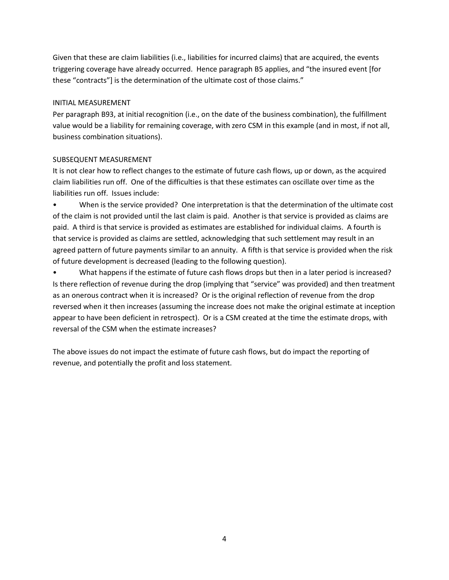Given that these are claim liabilities (i.e., liabilities for incurred claims) that are acquired, the events triggering coverage have already occurred. Hence paragraph B5 applies, and "the insured event [for these "contracts"] is the determination of the ultimate cost of those claims."

## INITIAL MEASUREMENT

Per paragraph B93, at initial recognition (i.e., on the date of the business combination), the fulfillment value would be a liability for remaining coverage, with zero CSM in this example (and in most, if not all, business combination situations).

## SUBSEQUENT MEASUREMENT

It is not clear how to reflect changes to the estimate of future cash flows, up or down, as the acquired claim liabilities run off. One of the difficulties is that these estimates can oscillate over time as the liabilities run off. Issues include:

• When is the service provided? One interpretation is that the determination of the ultimate cost of the claim is not provided until the last claim is paid. Another is that service is provided as claims are paid. A third is that service is provided as estimates are established for individual claims. A fourth is that service is provided as claims are settled, acknowledging that such settlement may result in an agreed pattern of future payments similar to an annuity. A fifth is that service is provided when the risk of future development is decreased (leading to the following question).

• What happens if the estimate of future cash flows drops but then in a later period is increased? Is there reflection of revenue during the drop (implying that "service" was provided) and then treatment as an onerous contract when it is increased? Or is the original reflection of revenue from the drop reversed when it then increases (assuming the increase does not make the original estimate at inception appear to have been deficient in retrospect). Or is a CSM created at the time the estimate drops, with reversal of the CSM when the estimate increases?

The above issues do not impact the estimate of future cash flows, but do impact the reporting of revenue, and potentially the profit and loss statement.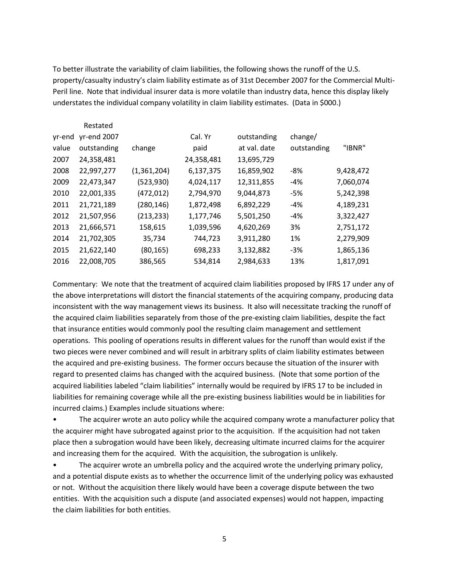To better illustrate the variability of claim liabilities, the following shows the runoff of the U.S. property/casualty industry's claim liability estimate as of 31st December 2007 for the Commercial Multi-Peril line. Note that individual insurer data is more volatile than industry data, hence this display likely understates the individual company volatility in claim liability estimates. (Data in \$000.)

|        | Restated    |             |            |              |             |           |
|--------|-------------|-------------|------------|--------------|-------------|-----------|
| yr-end | yr-end 2007 |             | Cal. Yr    | outstanding  | change/     |           |
| value  | outstanding | change      | paid       | at val. date | outstanding | "IBNR"    |
| 2007   | 24,358,481  |             | 24,358,481 | 13,695,729   |             |           |
| 2008   | 22,997,277  | (1,361,204) | 6,137,375  | 16,859,902   | -8%         | 9,428,472 |
| 2009   | 22,473,347  | (523, 930)  | 4,024,117  | 12,311,855   | $-4%$       | 7,060,074 |
| 2010   | 22,001,335  | (472, 012)  | 2,794,970  | 9,044,873    | $-5%$       | 5,242,398 |
| 2011   | 21,721,189  | (280, 146)  | 1,872,498  | 6,892,229    | $-4%$       | 4,189,231 |
| 2012   | 21,507,956  | (213, 233)  | 1,177,746  | 5,501,250    | -4%         | 3,322,427 |
| 2013   | 21,666,571  | 158,615     | 1,039,596  | 4,620,269    | 3%          | 2,751,172 |
| 2014   | 21,702,305  | 35,734      | 744,723    | 3,911,280    | 1%          | 2,279,909 |
| 2015   | 21,622,140  | (80, 165)   | 698,233    | 3,132,882    | $-3%$       | 1,865,136 |
| 2016   | 22,008,705  | 386,565     | 534,814    | 2,984,633    | 13%         | 1,817,091 |

Commentary: We note that the treatment of acquired claim liabilities proposed by IFRS 17 under any of the above interpretations will distort the financial statements of the acquiring company, producing data inconsistent with the way management views its business. It also will necessitate tracking the runoff of the acquired claim liabilities separately from those of the pre-existing claim liabilities, despite the fact that insurance entities would commonly pool the resulting claim management and settlement operations. This pooling of operations results in different values for the runoff than would exist if the two pieces were never combined and will result in arbitrary splits of claim liability estimates between the acquired and pre-existing business. The former occurs because the situation of the insurer with regard to presented claims has changed with the acquired business. (Note that some portion of the acquired liabilities labeled "claim liabilities" internally would be required by IFRS 17 to be included in liabilities for remaining coverage while all the pre-existing business liabilities would be in liabilities for incurred claims.) Examples include situations where:

The acquirer wrote an auto policy while the acquired company wrote a manufacturer policy that the acquirer might have subrogated against prior to the acquisition. If the acquisition had not taken place then a subrogation would have been likely, decreasing ultimate incurred claims for the acquirer and increasing them for the acquired. With the acquisition, the subrogation is unlikely.

The acquirer wrote an umbrella policy and the acquired wrote the underlying primary policy, and a potential dispute exists as to whether the occurrence limit of the underlying policy was exhausted or not. Without the acquisition there likely would have been a coverage dispute between the two entities. With the acquisition such a dispute (and associated expenses) would not happen, impacting the claim liabilities for both entities.